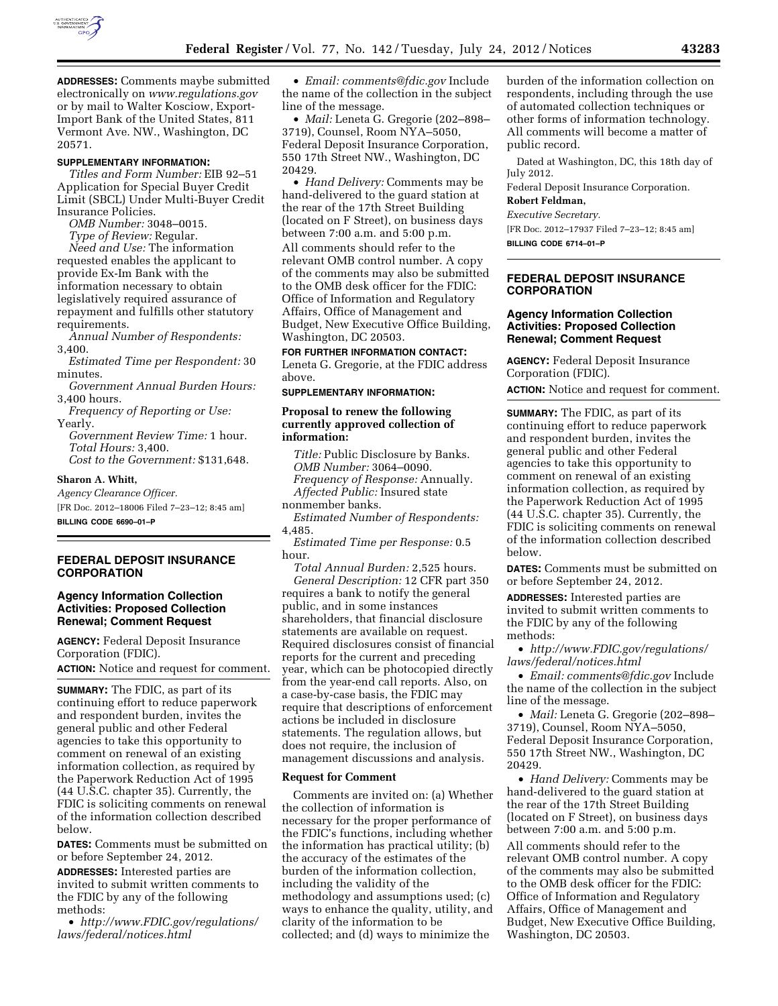

**ADDRESSES:** Comments maybe submitted electronically on *[www.regulations.gov](http://www.regulations.gov)*  or by mail to Walter Kosciow, Export-Import Bank of the United States, 811 Vermont Ave. NW., Washington, DC 20571.

## **SUPPLEMENTARY INFORMATION:**

*Titles and Form Number:* EIB 92–51 Application for Special Buyer Credit Limit (SBCL) Under Multi-Buyer Credit Insurance Policies.

*OMB Number:* 3048–0015. *Type of Review:* Regular. *Need and Use:* The information requested enables the applicant to provide Ex-Im Bank with the information necessary to obtain legislatively required assurance of repayment and fulfills other statutory requirements.

*Annual Number of Respondents:*  3,400.

*Estimated Time per Respondent:* 30 minutes.

*Government Annual Burden Hours:*  3,400 hours.

*Frequency of Reporting or Use:*  Yearly.

*Government Review Time:* 1 hour. *Total Hours:* 3,400. *Cost to the Government:* \$131,648.

**Sharon A. Whitt,** 

*Agency Clearance Officer.*  [FR Doc. 2012–18006 Filed 7–23–12; 8:45 am] **BILLING CODE 6690–01–P** 

**FEDERAL DEPOSIT INSURANCE CORPORATION** 

# **Agency Information Collection Activities: Proposed Collection Renewal; Comment Request**

**AGENCY:** Federal Deposit Insurance Corporation (FDIC).

**ACTION:** Notice and request for comment.

**SUMMARY:** The FDIC, as part of its continuing effort to reduce paperwork and respondent burden, invites the general public and other Federal agencies to take this opportunity to comment on renewal of an existing information collection, as required by the Paperwork Reduction Act of 1995 (44 U.S.C. chapter 35). Currently, the FDIC is soliciting comments on renewal of the information collection described below.

**DATES:** Comments must be submitted on or before September 24, 2012.

**ADDRESSES:** Interested parties are invited to submit written comments to the FDIC by any of the following methods:

• *[http://www.FDIC.gov/regulations/](http://www.FDIC.gov/regulations/laws/federal/notices.html) [laws/federal/notices.html](http://www.FDIC.gov/regulations/laws/federal/notices.html)* 

• *Email: [comments@fdic.gov](mailto:comments@fdic.gov)* Include the name of the collection in the subject line of the message.

• *Mail:* Leneta G. Gregorie (202–898– 3719), Counsel, Room NYA–5050, Federal Deposit Insurance Corporation, 550 17th Street NW., Washington, DC 20429.

• *Hand Delivery:* Comments may be hand-delivered to the guard station at the rear of the 17th Street Building (located on F Street), on business days between 7:00 a.m. and 5:00 p.m. All comments should refer to the relevant OMB control number. A copy of the comments may also be submitted to the OMB desk officer for the FDIC: Office of Information and Regulatory Affairs, Office of Management and Budget, New Executive Office Building, Washington, DC 20503.

**FOR FURTHER INFORMATION CONTACT:**  Leneta G. Gregorie, at the FDIC address above.

**SUPPLEMENTARY INFORMATION:** 

## **Proposal to renew the following currently approved collection of information:**

*Title:* Public Disclosure by Banks. *OMB Number:* 3064–0090. *Frequency of Response:* Annually. *Affected Public:* Insured state nonmember banks.

*Estimated Number of Respondents:*  4,485.

*Estimated Time per Response:* 0.5 hour.

*Total Annual Burden:* 2,525 hours. *General Description:* 12 CFR part 350 requires a bank to notify the general public, and in some instances shareholders, that financial disclosure statements are available on request. Required disclosures consist of financial reports for the current and preceding year, which can be photocopied directly from the year-end call reports. Also, on a case-by-case basis, the FDIC may require that descriptions of enforcement actions be included in disclosure statements. The regulation allows, but does not require, the inclusion of management discussions and analysis.

#### **Request for Comment**

Comments are invited on: (a) Whether the collection of information is necessary for the proper performance of the FDIC's functions, including whether the information has practical utility; (b) the accuracy of the estimates of the burden of the information collection, including the validity of the methodology and assumptions used; (c) ways to enhance the quality, utility, and clarity of the information to be collected; and (d) ways to minimize the

burden of the information collection on respondents, including through the use of automated collection techniques or other forms of information technology. All comments will become a matter of public record.

Dated at Washington, DC, this 18th day of July 2012.

Federal Deposit Insurance Corporation.

#### **Robert Feldman,**

*Executive Secretary.* 

[FR Doc. 2012–17937 Filed 7–23–12; 8:45 am] **BILLING CODE 6714–01–P** 

# **FEDERAL DEPOSIT INSURANCE CORPORATION**

## **Agency Information Collection Activities: Proposed Collection Renewal; Comment Request**

**AGENCY:** Federal Deposit Insurance Corporation (FDIC).

**ACTION:** Notice and request for comment.

**SUMMARY:** The FDIC, as part of its continuing effort to reduce paperwork and respondent burden, invites the general public and other Federal agencies to take this opportunity to comment on renewal of an existing information collection, as required by the Paperwork Reduction Act of 1995 (44 U.S.C. chapter 35). Currently, the FDIC is soliciting comments on renewal of the information collection described below.

**DATES:** Comments must be submitted on or before September 24, 2012.

**ADDRESSES:** Interested parties are invited to submit written comments to the FDIC by any of the following methods:

• *[http://www.FDIC.gov/regulations/](http://www.FDIC.gov/regulations/laws/federal/notices.html) [laws/federal/notices.html](http://www.FDIC.gov/regulations/laws/federal/notices.html)* 

• *Email: [comments@fdic.gov](mailto:comments@fdic.gov)* Include the name of the collection in the subject line of the message.

• *Mail:* Leneta G. Gregorie (202–898– 3719), Counsel, Room NYA–5050, Federal Deposit Insurance Corporation, 550 17th Street NW., Washington, DC 20429.

• *Hand Delivery:* Comments may be hand-delivered to the guard station at the rear of the 17th Street Building (located on F Street), on business days between 7:00 a.m. and 5:00 p.m.

All comments should refer to the relevant OMB control number. A copy of the comments may also be submitted to the OMB desk officer for the FDIC: Office of Information and Regulatory Affairs, Office of Management and Budget, New Executive Office Building, Washington, DC 20503.